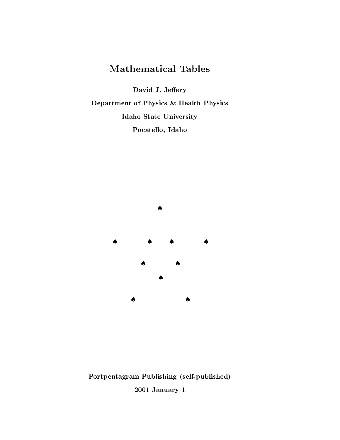# **Mathematical Tables**

David J. Jeffery

Department of Physics & Health Physics Idaho State University Pocatello, Idaho



Portpentagram Publishing (self-published) 2001 January 1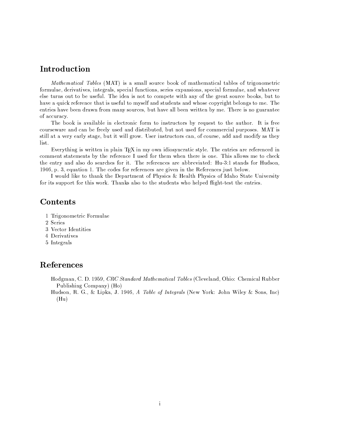#### -

Mathematical Tables (MAT) is a small source book of mathematical tables of trigonometric formulae, derivatives, integrals, special functions, series expansions, special formulae, and whatever else turns out to be useful. The idea is not to compete with any of the great source books, but to KD5S>A25ZdE=3@MFe?8A!H-A(?8ABP@(A]J8KD5;J34=4NA!H-=:&J8<]7aE4NAB:fHg5#PR4NJ8=RLABPEJ845#PRYK<>48AV@B<TEaE?83OKEJ-C&AB:<PO>4J8<]7\_A[h/KA entries have been drawn from many sources, but have all been written by me. There is no guarantee of accuracy.

The book is available in electronic form to instructors by request to the author. It is free courseware and can be freely used and distributed, but not used for commercial purposes. MAT is 48JN3:):s5;J25]S>AB?8a\_A5#?N:a 48J!5#O>AQC=LJ3)JY3::&O?8<#Y][-tV48AB?V3P48JN?8=@BJN<?N42@5;PsQ<;Hu@B<>=?84NAQU5#RR
5#PR
7 <ER3fH-a5#4J8KLABa  $\mathrm{list.}$ 

comment statements by the reference I used for them when there is one. This allows me to check the entry and also do searches for it. The references are abbreviated: Hu-3:1 stands for Hudson, ;bLQTs[&QEABdE=D5;J83<P[-/KAe@B<ERAB4H<??8A!H-A(?8ABP@(AB4%5#?NAZO3SABP
3P JNKA]A!HAB?8ABPL@BAB4!=4NJ2C&AB:<#Y][

t 1114, JPD 12 Rooms And 1 Africa Africa Africa and the Second for its support for this work. Thanks also to the students who helped flight-test the entries.

#### **Contents**

- `/-?83O><P<>7 ABJN?83@2<>?87=: 5;A
- 2 Series
- 3 Vector Identities
- 4 Derivatives
- 5 Integrals

#### References

Hodgman, C. D. 1959. *CRC Standard Mathematical Tables* (Cleveland, Ohio: Chemical Rubber -=CL:)34NK3PO¢<>7 TD5;PEa1£+ }2<E1

Hudson, R. G., & Lipka, J. 1946. *A Table of Integrals* (New York: John Wiley & Sons. Inc)  $(Hu)$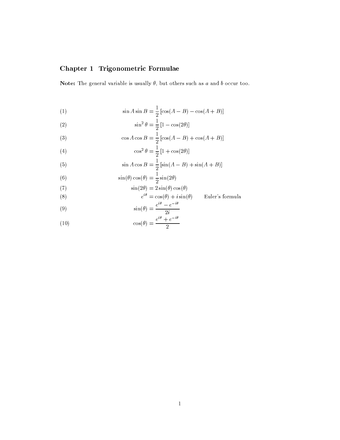### Chapter 1 Trigonometric Formulae

Note: The general variable is usually  $\theta$ , but others such as a and b occur too.

(1) 
$$
\sin A \sin B = \frac{1}{2} [\cos(A - B) - \cos(A + B)]
$$

$$
\sin^2 \theta = \frac{1}{2} \left[ 1 - \cos(2\theta) \right]
$$

(3) 
$$
\cos A \cos B = \frac{1}{2} [\cos(A - B) + \cos(A + B)]
$$

(4) 
$$
\cos^2 \theta = \frac{1}{2} \left[ 1 + \cos(2\theta) \right]
$$

(5) 
$$
\sin A \cos B = \frac{1}{2} [\sin(A - B) + \sin(A + B)]
$$

(6) 
$$
\sin(\theta)\cos(\theta) = \frac{1}{2}\sin(2\theta)
$$

(7) 
$$
\sin(2\theta) = 2\sin(\theta)\cos(\theta)
$$

(8) 
$$
e^{i\theta} = \cos(\theta) + i\sin(\theta)
$$

$$
z \sin(\theta) \cos(\theta)
$$
  
\n
$$
\cos(\theta) + i \sin(\theta)
$$
 Euler's formula  
\n
$$
e^{i\theta} - e^{-i\theta}
$$

(9) 
$$
\sin(\theta) = \frac{e^{i\theta} - e^{-i\theta}}{2i}
$$

(10) 
$$
\cos(\theta) = \frac{e^{i\theta} + e^{-i\theta}}{2}
$$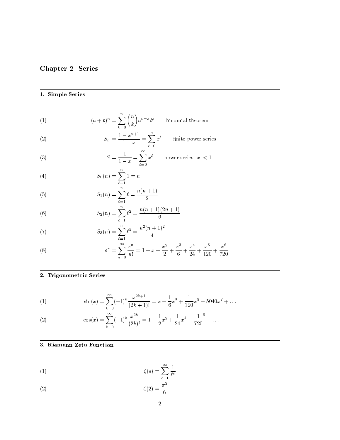# Chapter 2 Series

#### 1. Simple Series

(1) 
$$
(a+b)^n = \sum_{k=0}^n \binom{n}{k} a^{n-k} b^k \quad \text{binomial theorem}
$$

(2) 
$$
S_n = \frac{1 - x^{n+1}}{1 - x} = \sum_{\ell=0} x^{\ell} \quad \text{finite power series}
$$

(3) 
$$
S = \frac{1}{1-x} = \sum_{\ell=0}^{\infty} x^{\ell} \quad \text{power series } |x| < 1
$$

(4) 
$$
S_0(n) = \sum_{\ell=1}^n 1 = n
$$

(5) 
$$
S_1(n) = \sum_{\ell=1}^n \ell = \frac{n(n+1)}{2}
$$

(6) 
$$
S_2(n) = \sum_{\ell=1}^n \ell^2 = \frac{n(n+1)(2n+1)}{6}
$$

(7) 
$$
S_3(n) = \sum_{\ell=1}^n \ell^3 = \frac{n^2(n+1)^2}{4}
$$

(8) 
$$
e^x = \sum_{n=0}^{\infty} \frac{x^n}{n!} = 1 + x + \frac{x^2}{2} + \frac{x^3}{6} + \frac{x^4}{24} + \frac{x^5}{120} + \frac{x^6}{720}
$$

#### 2. Trigonometric Series

(1) 
$$
\sin(x) = \sum_{k=0}^{\infty} (-1)^k \frac{x^{2k+1}}{(2k+1)!} = x - \frac{1}{6}x^3 + \frac{1}{120}x^5 - 5040x^7 + \dots
$$

(2) 
$$
\cos(x) = \sum_{k=0}^{\infty} (-1)^k \frac{x^{2k}}{(2k)!} = 1 - \frac{1}{2}x^2 + \frac{1}{24}x^4 - \frac{1}{720}^6 + \dots
$$

#### 3. Riemann Zeta Function

(1) 
$$
\zeta(s) = \sum_{\ell=1}^{\infty} \frac{1}{\ell^s}
$$

$$
\zeta(2) = \frac{\pi}{6}
$$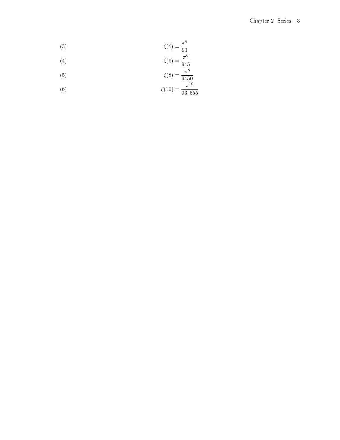$$
\zeta(4) = \frac{\pi^4}{90}
$$

$$
\zeta(6) = \frac{\pi^6}{945}
$$

$$
\zeta(5) \qquad \zeta(8) = \frac{\pi^8}{9450}
$$

(6) 
$$
\zeta(0) = \frac{\pi^{10}}{9450}
$$

$$
\zeta(10) = \frac{\pi^{10}}{93,555}
$$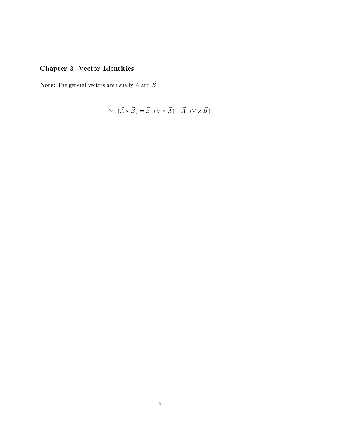# Chapter 3 Vector Identities

**Note:** The general vectors are usually  $\vec{A}$  and  $\vec{B}$ .

$$
\nabla \cdot (\vec{A} \times \vec{B}) = \vec{B} \cdot (\nabla \times \vec{A}) - \vec{A} \cdot (\nabla \times \vec{B})
$$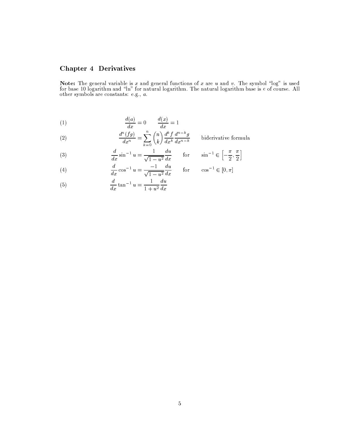### **Chapter 4 Derivatives**

**Note:** The general variable is x and general functions of x are u and v. The symbol "log" is used for base 10 logarithm and "ln" for natural logarithm. The natural logarithm base is e of course. All other symbols are con

$$
\frac{d(a)}{dx} = 0 \qquad \frac{d(x)}{dx} = 1
$$

(2) 
$$
\frac{d^n(fg)}{dx^n} = \sum_{k=0}^n \binom{n}{k} \frac{d^k f}{dx^k} \frac{d^{n-k} g}{dx^{n-k}} \quad \text{b}
$$

biderivative formula

(3) 
$$
\frac{d}{dx}\sin^{-1}u = \frac{1}{\sqrt{1-u^2}}\frac{du}{dx} \quad \text{for} \quad \sin^{-1} \in \left[-\frac{\pi}{2}, \frac{\pi}{2}\right]
$$

(4) 
$$
\frac{d}{dx}\cos^{-1}u = \frac{-1}{\sqrt{1-u^2}}\frac{du}{dx} \quad \text{for} \quad \cos^{-1} \in [0, \pi]
$$

(5) 
$$
\frac{d}{dx} \tan^{-1} u = \frac{1}{1+u^2} \frac{du}{dx}
$$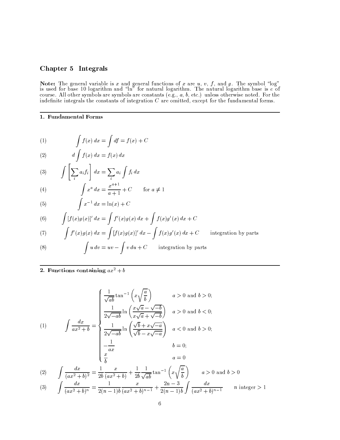#### Chapter 5 Integrals

**Note:** The general variable is x and general functions of x are u, v, f, and g. The symbol "log" is used for base 10 logarithm and "ln" for natural logarithm. The natural logarithm base is  $e$  of course. All other symbol

#### 1. Fundamental Forms

(1) 
$$
\int f(x) dx = \int df = f(x) + C
$$

$$
(2) \t\t d \int f(x) dx = f(x) dx
$$

(3) 
$$
\int \left[\sum_i a_i f_i\right] dx = \sum_i a_i \int f_i dx
$$

(4) 
$$
\int_{C} x^a dx = \frac{x^{a+1}}{a+1} + C \quad \text{for } a \neq 1
$$

$$
(5) \qquad \qquad \int x^{-1} \, dx = \ln(x) + C
$$

(6) 
$$
\int [f(x)g(x)]' dx = \int f'(x)g(x) dx + \int f(x)g'(x) dx + C
$$

(7) 
$$
\int f'(x)g(x) dx = \int [f(x)g(x)]' dx - \int f(x)g'(x) dx + C
$$
 integration by parts

(8) 
$$
\int u \, dv = uv - \int v \, du + C \quad \text{integration by parts}
$$

#### 2. Functions containing  $ax^2 + b$

$$
\int \frac{dx}{ax^2 + b} = \begin{cases} \frac{1}{\sqrt{ab}} \tan^{-1} \left( x \sqrt{\frac{a}{b}} \right) & a > 0 \text{ and } b > 0; \\ \frac{1}{2\sqrt{-ab}} \ln \left( \frac{x\sqrt{a} - \sqrt{-b}}{x\sqrt{a} + \sqrt{-b}} \right) & a > 0 \text{ and } b < 0; \\ \frac{1}{2\sqrt{-ab}} \ln \left( \frac{\sqrt{b} + x\sqrt{-a}}{\sqrt{b} - x\sqrt{-a}} \right) & a < 0 \text{ and } b > 0; \\ \frac{1}{\sqrt{a}} & b = 0; \\ \frac{x}{b} & a = 0 \end{cases}
$$
\n
$$
(2) \quad \int \frac{dx}{\sqrt{a^2 + b^2}} = \frac{1}{\sqrt{a^2 + b^2}} \frac{x}{\sqrt{a^2 + b^2}} + \frac{1}{\sqrt{a^2 + b^2}} \tan^{-1} \left( x \sqrt{\frac{a}{b}} \right) \qquad a > 0 \text{ and } b > 0
$$

$$
(2) \qquad \int \frac{dx}{(ax^2 + b)^2} = \frac{1}{2b} \frac{1}{(ax^2 + b)} + \frac{1}{2b} \frac{1}{\sqrt{ab}} \tan \left(\frac{x}{b}\right) \qquad a > 0 \text{ and } b > 0
$$
\n
$$
(3) \qquad \int \frac{dx}{(ax^2 + b)^n} = \frac{1}{2(n-1)b} \frac{x}{(ax^2 + b)^{n-1}} + \frac{2n-3}{2(n-1)b} \int \frac{dx}{(ax^2 + b)^{n-1}} \qquad n \text{ integer} > 1
$$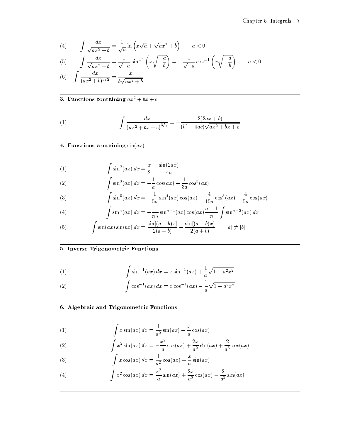(4) 
$$
\int \frac{dx}{\sqrt{ax^2 + b}} = \frac{1}{\sqrt{a}} \ln \left( x \sqrt{a} + \sqrt{ax^2 + b} \right) \qquad a < 0
$$

$$
(5) \qquad \int \frac{dx}{\sqrt{ax^2 + b}} = \frac{1}{\sqrt{-a}} \sin^{-1} \left( x \sqrt{-\frac{a}{b}} \right) = -\frac{1}{\sqrt{-a}} \cos^{-1} \left( x \sqrt{-\frac{a}{b}} \right) \qquad a < 0
$$

(6) 
$$
\int \frac{dx}{(ax^2 + b)^{3/2}} = \frac{c}{b\sqrt{ax^2 + b}}
$$

# 3. Functions containing  $ax^2 + bx + c$

(1) 
$$
\int \frac{dx}{(ax^2 + bx + c)^{3/2}} = -\frac{2(2ax + b)}{(b^2 - 4ac)\sqrt{ax^2 + bx + c}}
$$

4. Functions containing  $sin(ax)$ 

(1) 
$$
\int \sin^2(ax) dx = \frac{x}{2} - \frac{\sin(2ax)}{4a}
$$

(2) 
$$
\int \sin^3(ax) \, dx = -\frac{1}{a} \cos(ax) + \frac{1}{3a} \cos^3(ax)
$$

(3) 
$$
\int \sin^5(ax) dx = -\frac{1}{5a} \sin^4(ax) \cos(ax) + \frac{4}{15a} \cos^3(ax) - \frac{4}{5a} \cos(ax)
$$

(4) 
$$
\int \sin^{n}(ax) dx = -\frac{1}{na} \sin^{n-1}(ax) \cos(ax) \frac{n-1}{n} \int \sin^{n-2}(ax) dx
$$

(5) 
$$
\int \sin(ax)\sin(bx) dx = \frac{\sin[(a-b)x]}{2(a-b)} - \frac{\sin[(a+b)x]}{2(a+b)} \qquad |a| \neq |b|
$$

### 5. Inverse Trigonometric Functions

(1) 
$$
\int \sin^{-1}(ax) dx = x \sin^{-1}(ax) + \frac{1}{a} \sqrt{1 - a^2 x^2}
$$

(2) 
$$
\int \cos^{-1}(ax) dx = x \cos^{-1}(ax) - \frac{1}{a} \sqrt{1 - a^2 x^2}
$$

### 6. Algebraic and Trigonometric Functions

(1) 
$$
\int x \sin(ax) dx = \frac{1}{a^2} \sin(ax) - \frac{x}{a} \cos(ax)
$$

(2) 
$$
\int x^2 \sin(ax) \, dx = -\frac{x^2}{a} \cos(ax) + \frac{2x}{a^2} \sin(ax) + \frac{2}{a^3} \cos(ax)
$$

(3) 
$$
\int x \cos(ax) dx = \frac{1}{a^2} \cos(ax) + \frac{x}{a} \sin(ax)
$$

(4) 
$$
\int x^2 \cos(ax) \, dx = \frac{x^2}{a} \sin(ax) + \frac{2x}{a^2} \cos(ax) - \frac{2}{a^3} \sin(ax)
$$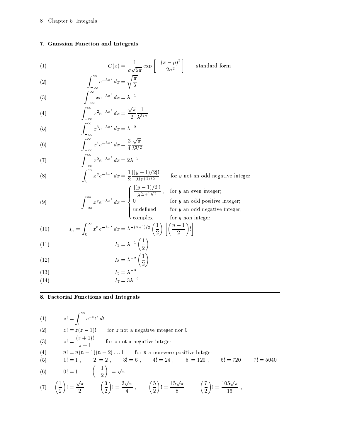#### 7. Gaussian Function and Integrals

(1)  
\n
$$
G(x) = \frac{1}{\sigma\sqrt{2\pi}} \exp\left[-\frac{(x-\mu)^2}{2\sigma^2}\right]
$$
 standard form  
\n(2)  
\n
$$
\int_{-\infty}^{\infty} e^{-\lambda x^2} dx = \sqrt{\frac{\pi}{\lambda}}
$$

$$
(2) \t\t \t\t \t\t \int_{-\infty}^{\infty}
$$

(3) 
$$
\int_{-\infty}^{\infty} x e^{-\lambda x^2} dx = \lambda^{-1}
$$

(4) 
$$
\int_{-\infty}^{\infty} x^2 e^{-\lambda x^2} dx = \frac{\sqrt{\pi}}{2} \frac{1}{\lambda^{3/2}}
$$

(5) 
$$
\int_{-\infty}^{\infty} x^3 e^{-\lambda x^2} dx = \lambda^{-2}
$$

(6) 
$$
\int_{-\infty}^{\infty} x^4 e^{-\lambda x^2} dx = \frac{3}{4} \frac{\sqrt{\pi}}{\lambda^{3/2}}
$$

(7) 
$$
\int_{-\infty}^{\infty} x^5 e^{-\lambda x^2} dx = 2\lambda^{-3}
$$

(8) 
$$
\int_0^\infty x^y e^{-\lambda x^2} dx = \frac{1}{2} \frac{[(y-1)/2]!}{\lambda^{(y+1)/2}}
$$

(9) 
$$
\int_{-\infty}^{\infty} x^y e^{-\lambda x^2} dx = \begin{cases} \frac{\sqrt{(\lambda y + 1)/2}}{\lambda (y + 1)/2} \\ 0 \\ \text{undefined} \end{cases}
$$

for  $y$  not an odd negative integer

 $\int \frac{[(y-1)/2]!}{(x+1)/2}$ , for y an even integer;

for  $y$  an odd positive integer; for  $y$  an odd negative integer; for  $y$  non-integer

(10) 
$$
I_n = \int_0^\infty x^n e^{-\lambda x^2} dx = \lambda^{-(n+1)/2} \left(\frac{1}{2}\right) \left[ \left(\frac{n-1}{2}\right)! \right]
$$

$$
I_1 = \lambda^{-1} \left(\frac{1}{2}\right)
$$

$$
I_3 = \lambda^{-2} \left(\frac{1}{2}\right)
$$

$$
(13) \t I_5 = \lambda^{-3}
$$

 $I_7 = 3\lambda^{-4}$  $(14)$ 

#### 8. Factorial Functions and Integrals

$$
(1) \t z! = \int_0^\infty e^{-t} t^z dt
$$

 $z! = \int_0^{\infty} e^{-t} t^z dt$ <br>  $z! = z(z-1)!$  for z not a negative integer nor 0<br>  $(z+1)!$  $(2)$ 

(3) 
$$
z! = \frac{(z+1)!}{z+1}
$$
 for z not a negative integer

(4) 
$$
n! = n(n-1)(n-2)... 1
$$
 for *n* a non-zero positive integer

(5) 
$$
1! = 1
$$
,  $2! = 2$ ,  $3! = 6$ ,  $4! = 24$ ,  $5! = 120$ ,  $6! = 720$   $7! = 5040$   
(6)  $0! = 1$   $\left(-\frac{1}{2}\right)! = \sqrt{\pi}$ 

(7) 
$$
\left(\frac{1}{2}\right)! = \frac{\sqrt{\pi}}{2}
$$
,  $\left(\frac{3}{2}\right)! = \frac{3\sqrt{\pi}}{4}$ ,  $\left(\frac{5}{2}\right)! = \frac{15\sqrt{\pi}}{8}$ ,  $\left(\frac{7}{2}\right)! = \frac{105\sqrt{\pi}}{16}$ ,